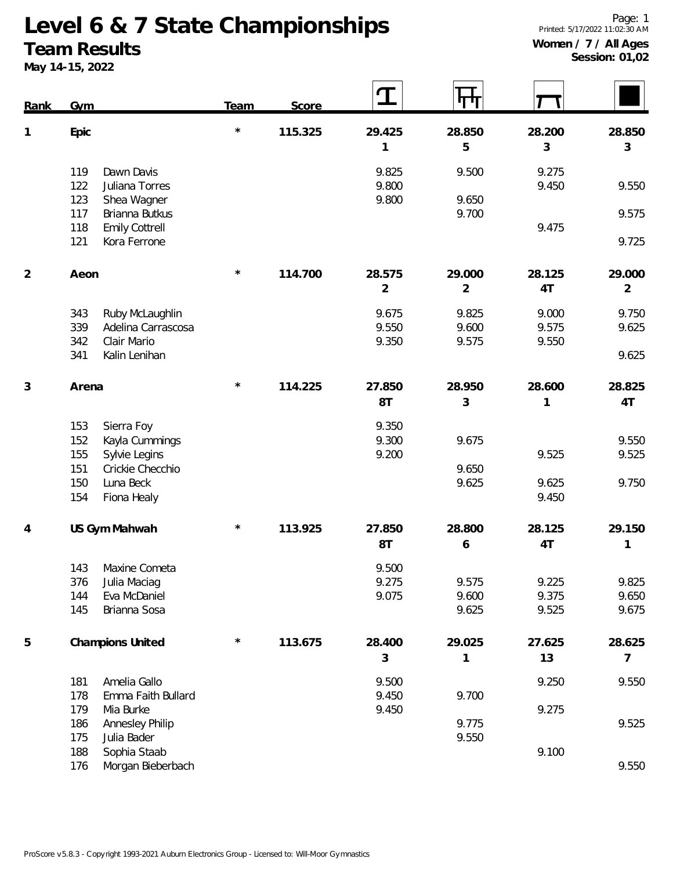## **Team Results**

**May 14-15, 2022**

| Rank           | Gym                                                                                           | Team     | Score   |                          | ┞┯┿                      |                         |                          |
|----------------|-----------------------------------------------------------------------------------------------|----------|---------|--------------------------|--------------------------|-------------------------|--------------------------|
| 1              | Epic                                                                                          | $\star$  | 115.325 | 29.425<br>1              | 28.850<br>5              | 28.200<br>$\mathsf 3$   | 28.850<br>3              |
|                | 119<br>Dawn Davis<br>122<br>Juliana Torres<br>123<br>Shea Wagner                              |          |         | 9.825<br>9.800<br>9.800  | 9.500<br>9.650           | 9.275<br>9.450          | 9.550                    |
|                | 117<br>Brianna Butkus<br>118<br><b>Emily Cottrell</b><br>Kora Ferrone<br>121                  |          |         |                          | 9.700                    | 9.475                   | 9.575<br>9.725           |
| $\overline{2}$ | Aeon                                                                                          | $^\star$ | 114.700 | 28.575<br>$\overline{2}$ | 29.000<br>$\overline{2}$ | 28.125<br>4T            | 29.000<br>$\overline{2}$ |
|                | 343<br>Ruby McLaughlin<br>339<br>Adelina Carrascosa<br>342<br>Clair Mario                     |          |         | 9.675<br>9.550<br>9.350  | 9.825<br>9.600<br>9.575  | 9.000<br>9.575<br>9.550 | 9.750<br>9.625           |
|                | 341<br>Kalin Lenihan                                                                          |          |         |                          |                          |                         | 9.625                    |
| 3              | Arena                                                                                         | $\star$  | 114.225 | 27.850<br>8T             | 28.950<br>3              | 28.600<br>1             | 28.825<br>4T             |
|                | 153<br>Sierra Foy<br>152<br>Kayla Cummings<br>Sylvie Legins<br>155<br>151<br>Crickie Checchio |          |         | 9.350<br>9.300<br>9.200  | 9.675<br>9.650           | 9.525                   | 9.550<br>9.525           |
|                | Luna Beck<br>150<br>154<br>Fiona Healy                                                        |          |         |                          | 9.625                    | 9.625<br>9.450          | 9.750                    |
| 4              | US Gym Mahwah                                                                                 | $^\star$ | 113.925 | 27.850<br>8T             | 28.800<br>6              | 28.125<br>4T            | 29.150<br>1              |
|                | 143<br>Maxine Cometa<br>376<br>Julia Maciag<br>Eva McDaniel<br>144<br>145<br>Brianna Sosa     |          |         | 9.500<br>9.275<br>9.075  | 9.575<br>9.600<br>9.625  | 9.225<br>9.375<br>9.525 | 9.825<br>9.650<br>9.675  |
| 5              | Champions United                                                                              | $\star$  | 113.675 | 28.400<br>$\mathfrak{Z}$ | 29.025<br>1              | 27.625<br>13            | 28.625<br>7              |
|                | Amelia Gallo<br>181<br>178<br>Emma Faith Bullard                                              |          |         | 9.500<br>9.450           | 9.700                    | 9.250                   | 9.550                    |
|                | 179<br>Mia Burke<br>Annesley Philip<br>186<br>175<br>Julia Bader                              |          |         | 9.450                    | 9.775<br>9.550           | 9.275                   | 9.525                    |
|                | Sophia Staab<br>188<br>Morgan Bieberbach<br>176                                               |          |         |                          |                          | 9.100                   | 9.550                    |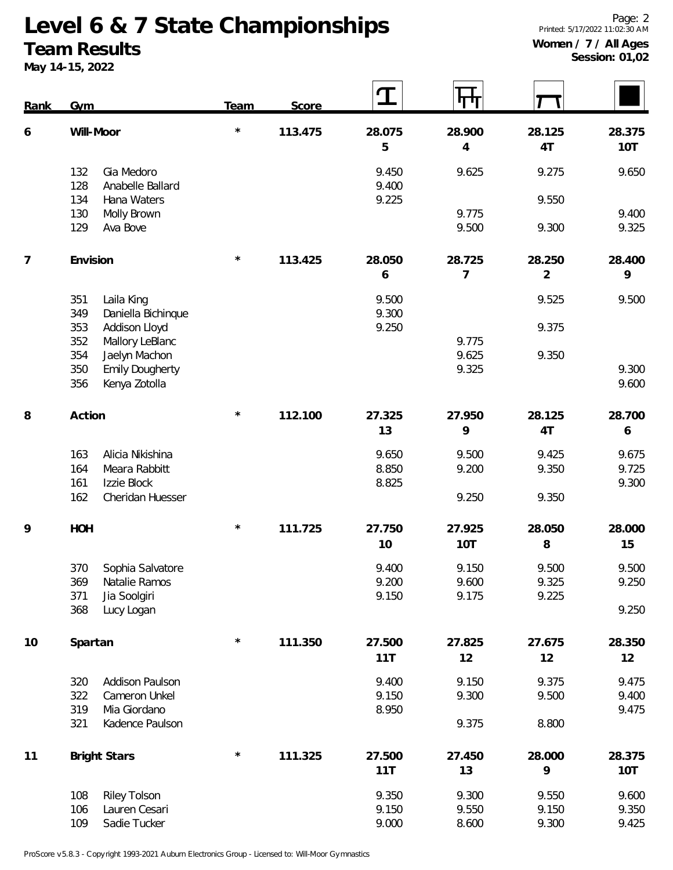## **Team Results**

**May 14-15, 2022**

<u>ran</u>

 $\overline{\phantom{a}}$  $\Box$ 

 $\overline{ }$ 

| Rank           | <b>Gym</b> |                                         | Team       | Score   |                | <b>44</b>      |                |                  |
|----------------|------------|-----------------------------------------|------------|---------|----------------|----------------|----------------|------------------|
| 6              |            | Will-Moor                               |            | 113.475 | 28.075         | 28.900         | 28.125         | 28.375           |
|                |            |                                         |            |         | 5              | 4              | 4T             | 10T              |
|                | 132<br>128 | Gia Medoro<br>Anabelle Ballard          |            |         | 9.450<br>9.400 | 9.625          | 9.275          | 9.650            |
|                | 134        | Hana Waters                             |            |         | 9.225          |                | 9.550          |                  |
|                | 130        | Molly Brown                             |            |         |                | 9.775          |                | 9.400            |
|                | 129        | Ava Bove                                |            |         |                | 9.500          | 9.300          | 9.325            |
| $\overline{7}$ | Envision   |                                         | $\star$    | 113.425 | 28.050         | 28.725         | 28.250         | 28.400           |
|                |            |                                         |            |         | 6              | 7              | $\overline{2}$ | 9                |
|                | 351        | Laila King                              |            |         | 9.500          |                | 9.525          | 9.500            |
|                | 349        | Daniella Bichinque                      |            |         | 9.300          |                |                |                  |
|                | 353        | Addison Lloyd                           |            |         | 9.250          |                | 9.375          |                  |
|                | 352        | Mallory LeBlanc                         |            |         |                | 9.775<br>9.625 | 9.350          |                  |
|                | 354<br>350 | Jaelyn Machon<br><b>Emily Dougherty</b> |            |         |                | 9.325          |                | 9.300            |
|                | 356        | Kenya Zotolla                           |            |         |                |                |                | 9.600            |
|                |            |                                         |            |         |                |                |                |                  |
| 8              | Action     |                                         | $\star$    | 112.100 | 27.325         | 27.950         | 28.125         | 28.700           |
|                |            |                                         |            |         | 13             | 9              | 4T             | $\boldsymbol{6}$ |
|                | 163        | Alicia Nikishina                        |            |         | 9.650          | 9.500          | 9.425          | 9.675            |
|                | 164        | Meara Rabbitt                           |            |         | 8.850          | 9.200          | 9.350          | 9.725            |
|                | 161        | Izzie Block                             |            |         | 8.825          |                |                | 9.300            |
|                | 162        | Cheridan Huesser                        |            |         |                | 9.250          | 9.350          |                  |
| 9              | HOH        |                                         | $\star$    | 111.725 | 27.750         | 27.925         | 28.050         | 28.000           |
|                |            |                                         |            |         | 10             | 10T            | 8              | 15               |
|                | 370        | Sophia Salvatore                        |            |         | 9.400          | 9.150          | 9.500          | 9.500            |
|                | 369        | Natalie Ramos                           |            |         | 9.200          | 9.600          | 9.325          | 9.250            |
|                | 371        | Jia Soolgiri                            |            |         | 9.150          | 9.175          | 9.225          |                  |
|                | 368        | Lucy Logan                              |            |         |                |                |                | 9.250            |
| 10             | Spartan    |                                         | $\star$    | 111.350 | 27.500         | 27.825         | 27.675         | 28.350           |
|                |            |                                         |            |         | 11T            | 12             | 12             | 12               |
|                | 320        | Addison Paulson                         |            |         | 9.400          | 9.150          | 9.375          | 9.475            |
|                | 322        | Cameron Unkel                           |            |         | 9.150          | 9.300          | 9.500          | 9.400            |
|                | 319        | Mia Giordano                            |            |         | 8.950          |                |                | 9.475            |
|                | 321        | Kadence Paulson                         |            |         |                | 9.375          | 8.800          |                  |
| 11             |            | <b>Bright Stars</b>                     | $^{\star}$ | 111.325 | 27.500         | 27.450         | 28.000         | 28.375           |
|                |            |                                         |            |         | 11T            | 13             | 9              | 10T              |
|                | 108        | <b>Riley Tolson</b>                     |            |         | 9.350          | 9.300          | 9.550          | 9.600            |
|                | 106        | Lauren Cesari                           |            |         | 9.150          | 9.550          | 9.150          | 9.350            |
|                | 109        | Sadie Tucker                            |            |         | 9.000          | 8.600          | 9.300          | 9.425            |

 $\overline{\phantom{a}}$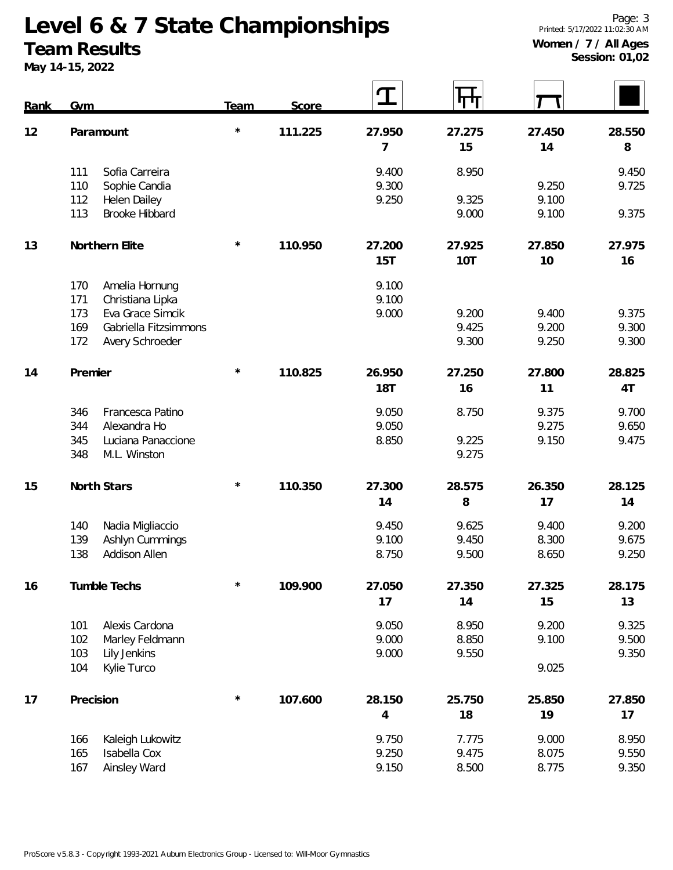#### **Team Results**

**May 14-15, 2022**

 $\mathcal{L}(\mathcal{L})$ 

| Rank | Gym        |                                       | <b>Team</b> | Score   | $\mathbf T$    | ரா             |        |        |
|------|------------|---------------------------------------|-------------|---------|----------------|----------------|--------|--------|
| 12   | Paramount  |                                       | $\star$     | 111.225 | 27.950         | 27.275         | 27.450 | 28.550 |
|      |            |                                       |             |         | 7              | 15             | 14     | 8      |
|      | 111        | Sofia Carreira                        |             |         | 9.400          | 8.950          |        | 9.450  |
|      | 110        | Sophie Candia                         |             |         | 9.300          |                | 9.250  | 9.725  |
|      | 112<br>113 | Helen Dailey<br><b>Brooke Hibbard</b> |             |         | 9.250          | 9.325<br>9.000 | 9.100  |        |
|      |            |                                       |             |         |                |                | 9.100  | 9.375  |
| 13   |            | Northern Elite                        | $\star$     | 110.950 | 27.200         | 27.925         | 27.850 | 27.975 |
|      |            |                                       |             |         | 15T            | 10T            | 10     | 16     |
|      | 170        | Amelia Hornung                        |             |         | 9.100          |                |        |        |
|      | 171        | Christiana Lipka                      |             |         | 9.100          |                |        |        |
|      | 173        | Eva Grace Simcik                      |             |         | 9.000          | 9.200          | 9.400  | 9.375  |
|      | 169        | Gabriella Fitzsimmons                 |             |         |                | 9.425          | 9.200  | 9.300  |
|      | 172        | Avery Schroeder                       |             |         |                | 9.300          | 9.250  | 9.300  |
| 14   | Premier    |                                       | $\star$     | 110.825 | 26.950         | 27.250         | 27.800 | 28.825 |
|      |            |                                       |             |         | <b>18T</b>     | 16             | 11     | 4T     |
|      | 346        | Francesca Patino                      |             |         | 9.050          | 8.750          | 9.375  | 9.700  |
|      | 344        | Alexandra Ho                          |             |         | 9.050          |                | 9.275  | 9.650  |
|      | 345        | Luciana Panaccione                    |             |         | 8.850          | 9.225          | 9.150  | 9.475  |
|      | 348        | M.L. Winston                          |             |         |                | 9.275          |        |        |
| 15   |            | North Stars                           | $\star$     | 110.350 | 27.300         | 28.575         | 26.350 | 28.125 |
|      |            |                                       |             |         | 14             | 8              | 17     | 14     |
|      | 140        | Nadia Migliaccio                      |             |         | 9.450          | 9.625          | 9.400  | 9.200  |
|      | 139        | Ashlyn Cummings                       |             |         | 9.100          | 9.450          | 8.300  | 9.675  |
|      | 138        | Addison Allen                         |             |         | 8.750          | 9.500          | 8.650  | 9.250  |
| 16   |            | Tumble Techs                          | $\star$     | 109.900 | 27.050         | 27.350         | 27.325 | 28.175 |
|      |            |                                       |             |         | 17             | 14             | 15     | 13     |
|      | 101        | Alexis Cardona                        |             |         | 9.050          | 8.950          | 9.200  | 9.325  |
|      | 102        | Marley Feldmann                       |             |         | 9.000          | 8.850          | 9.100  | 9.500  |
|      | 103        | Lily Jenkins                          |             |         | 9.000          | 9.550          |        | 9.350  |
|      | 104        | Kylie Turco                           |             |         |                |                | 9.025  |        |
| 17   |            | Precision                             | $\star$     | 107.600 | 28.150         | 25.750         | 25.850 | 27.850 |
|      |            |                                       |             |         | $\overline{4}$ | 18             | 19     | 17     |
|      | 166        | Kaleigh Lukowitz                      |             |         | 9.750          | 7.775          | 9.000  | 8.950  |
|      | 165        | Isabella Cox                          |             |         | 9.250          | 9.475          | 8.075  | 9.550  |
|      | 167        | Ainsley Ward                          |             |         | 9.150          | 8.500          | 8.775  | 9.350  |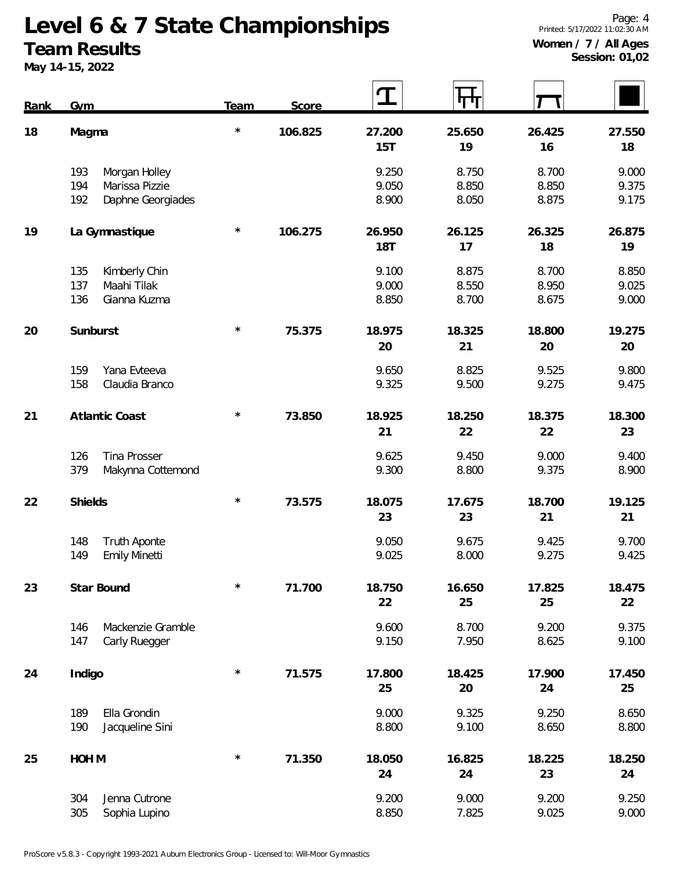#### **Team Results**

**May 14-15, 2022**

| Rank | Gym                                                                       | Team    | Score   | T                       |                         |                         |                         |
|------|---------------------------------------------------------------------------|---------|---------|-------------------------|-------------------------|-------------------------|-------------------------|
| 18   | Magma                                                                     | $\star$ | 106.825 | 27.200<br>15T           | 25.650<br>19            | 26.425<br>16            | 27.550<br>18            |
|      | Morgan Holley<br>193<br>Marissa Pizzie<br>194<br>Daphne Georgiades<br>192 |         |         | 9.250<br>9.050<br>8.900 | 8.750<br>8.850<br>8.050 | 8.700<br>8.850<br>8.875 | 9.000<br>9.375<br>9.175 |
| 19   | La Gymnastique                                                            | $\star$ | 106.275 | 26.950<br><b>18T</b>    | 26.125<br>17            | 26.325<br>18            | 26.875<br>19            |
|      | Kimberly Chin<br>135<br>Maahi Tilak<br>137<br>136<br>Gianna Kuzma         |         |         | 9.100<br>9.000<br>8.850 | 8.875<br>8.550<br>8.700 | 8.700<br>8.950<br>8.675 | 8.850<br>9.025<br>9.000 |
| 20   | Sunburst                                                                  | $\star$ | 75.375  | 18.975<br>20            | 18.325<br>21            | 18.800<br>20            | 19.275<br>20            |
|      | Yana Evteeva<br>159<br>158<br>Claudia Branco                              |         |         | 9.650<br>9.325          | 8.825<br>9.500          | 9.525<br>9.275          | 9.800<br>9.475          |
| 21   | Atlantic Coast                                                            | $\star$ | 73.850  | 18.925<br>21            | 18.250<br>22            | 18.375<br>22            | 18.300<br>23            |
|      | 126<br>Tina Prosser<br>379<br>Makynna Cottemond                           |         |         | 9.625<br>9.300          | 9.450<br>8.800          | 9.000<br>9.375          | 9.400<br>8.900          |
| 22   | Shields                                                                   | $\star$ | 73.575  | 18.075<br>23            | 17.675<br>23            | 18.700<br>21            | 19.125<br>21            |
|      | 148<br><b>Truth Aponte</b><br>149<br><b>Emily Minetti</b>                 |         |         | 9.050<br>9.025          | 9.675<br>8.000          | 9.425<br>9.275          | 9.700<br>9.425          |
| 23   | Star Bound                                                                | $\star$ | 71.700  | 18.750<br>22            | 16.650<br>25            | 17.825<br>25            | 18.475<br>22            |
|      | Mackenzie Gramble<br>146<br>147<br>Carly Ruegger                          |         |         | 9.600<br>9.150          | 8.700<br>7.950          | 9.200<br>8.625          | 9.375<br>9.100          |
| 24   | Indigo                                                                    | $\star$ | 71.575  | 17.800<br>25            | 18.425<br>20            | 17.900<br>24            | 17.450<br>25            |
|      | Ella Grondin<br>189<br>Jacqueline Sini<br>190                             |         |         | 9.000<br>8.800          | 9.325<br>9.100          | 9.250<br>8.650          | 8.650<br>8.800          |
| 25   | HOH M                                                                     | $\star$ | 71.350  | 18.050<br>24            | 16.825<br>24            | 18.225<br>23            | 18.250<br>24            |
|      | Jenna Cutrone<br>304<br>305<br>Sophia Lupino                              |         |         | 9.200<br>8.850          | 9.000<br>7.825          | 9.200<br>9.025          | 9.250<br>9.000          |